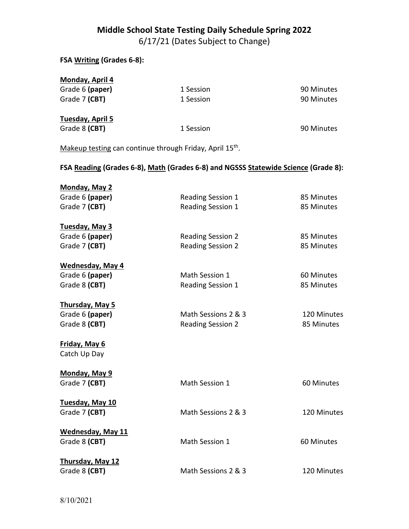## **Middle School State Testing Daily Schedule Spring 2022**

6/17/21 (Dates Subject to Change)

| FSA Writing (Grades 6-8):                                   |                                                                                    |                           |
|-------------------------------------------------------------|------------------------------------------------------------------------------------|---------------------------|
| <b>Monday, April 4</b><br>Grade 6 (paper)<br>Grade 7 (CBT)  | 1 Session<br>1 Session                                                             | 90 Minutes<br>90 Minutes  |
| Tuesday, April 5<br>Grade 8 (CBT)                           | 1 Session                                                                          | 90 Minutes                |
|                                                             | Makeup testing can continue through Friday, April 15 <sup>th</sup> .               |                           |
|                                                             | FSA Reading (Grades 6-8), Math (Grades 6-8) and NGSSS Statewide Science (Grade 8): |                           |
| <b>Monday, May 2</b><br>Grade 6 (paper)<br>Grade 7 (CBT)    | Reading Session 1<br>Reading Session 1                                             | 85 Minutes<br>85 Minutes  |
| Tuesday, May 3<br>Grade 6 (paper)<br>Grade 7 (CBT)          | <b>Reading Session 2</b><br><b>Reading Session 2</b>                               | 85 Minutes<br>85 Minutes  |
| <b>Wednesday, May 4</b><br>Grade 6 (paper)<br>Grade 8 (CBT) | Math Session 1<br>Reading Session 1                                                | 60 Minutes<br>85 Minutes  |
| <b>Thursday, May 5</b><br>Grade 6 (paper)<br>Grade 8 (CBT)  | Math Sessions 2 & 3<br><b>Reading Session 2</b>                                    | 120 Minutes<br>85 Minutes |
| <b>Friday, May 6</b><br>Catch Up Day                        |                                                                                    |                           |
| Monday, May 9<br>Grade 7 (CBT)                              | Math Session 1                                                                     | 60 Minutes                |
| Tuesday, May 10<br>Grade 7 (CBT)                            | Math Sessions 2 & 3                                                                | 120 Minutes               |
| <b>Wednesday, May 11</b><br>Grade 8 (CBT)                   | Math Session 1                                                                     | 60 Minutes                |
| <b>Thursday, May 12</b><br>Grade 8 (CBT)                    | Math Sessions 2 & 3                                                                | 120 Minutes               |